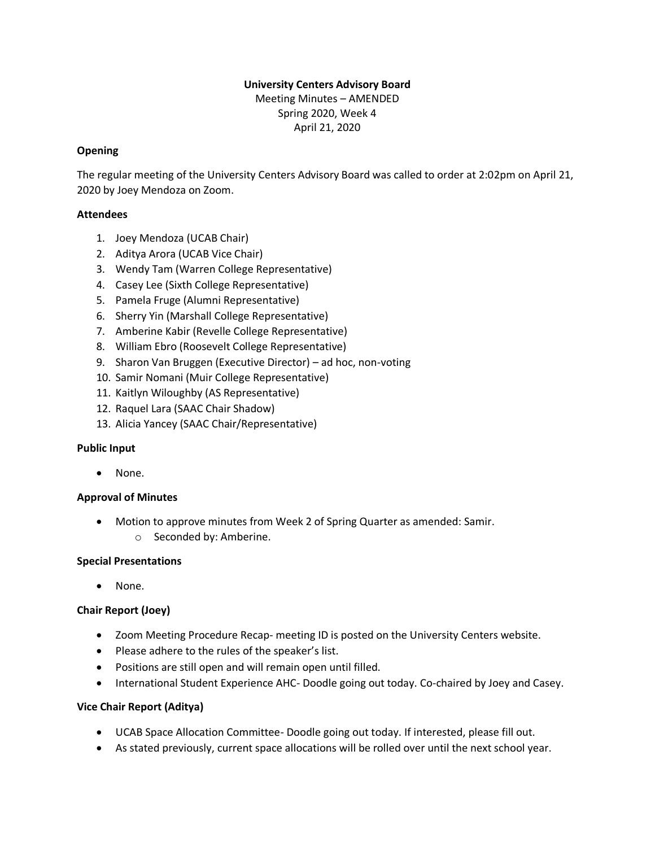# **University Centers Advisory Board**

Meeting Minutes – AMENDED Spring 2020, Week 4 April 21, 2020

# **Opening**

The regular meeting of the University Centers Advisory Board was called to order at 2:02pm on April 21, 2020 by Joey Mendoza on Zoom.

## **Attendees**

- 1. Joey Mendoza (UCAB Chair)
- 2. Aditya Arora (UCAB Vice Chair)
- 3. Wendy Tam (Warren College Representative)
- 4. Casey Lee (Sixth College Representative)
- 5. Pamela Fruge (Alumni Representative)
- 6. Sherry Yin (Marshall College Representative)
- 7. Amberine Kabir (Revelle College Representative)
- 8. William Ebro (Roosevelt College Representative)
- 9. Sharon Van Bruggen (Executive Director) ad hoc, non-voting
- 10. Samir Nomani (Muir College Representative)
- 11. Kaitlyn Wiloughby (AS Representative)
- 12. Raquel Lara (SAAC Chair Shadow)
- 13. Alicia Yancey (SAAC Chair/Representative)

#### **Public Input**

• None.

# **Approval of Minutes**

- Motion to approve minutes from Week 2 of Spring Quarter as amended: Samir.
	- o Seconded by: Amberine.

# **Special Presentations**

• None.

# **Chair Report (Joey)**

- Zoom Meeting Procedure Recap- meeting ID is posted on the University Centers website.
- Please adhere to the rules of the speaker's list.
- Positions are still open and will remain open until filled.
- International Student Experience AHC- Doodle going out today. Co-chaired by Joey and Casey.

# **Vice Chair Report (Aditya)**

- UCAB Space Allocation Committee- Doodle going out today. If interested, please fill out.
- As stated previously, current space allocations will be rolled over until the next school year.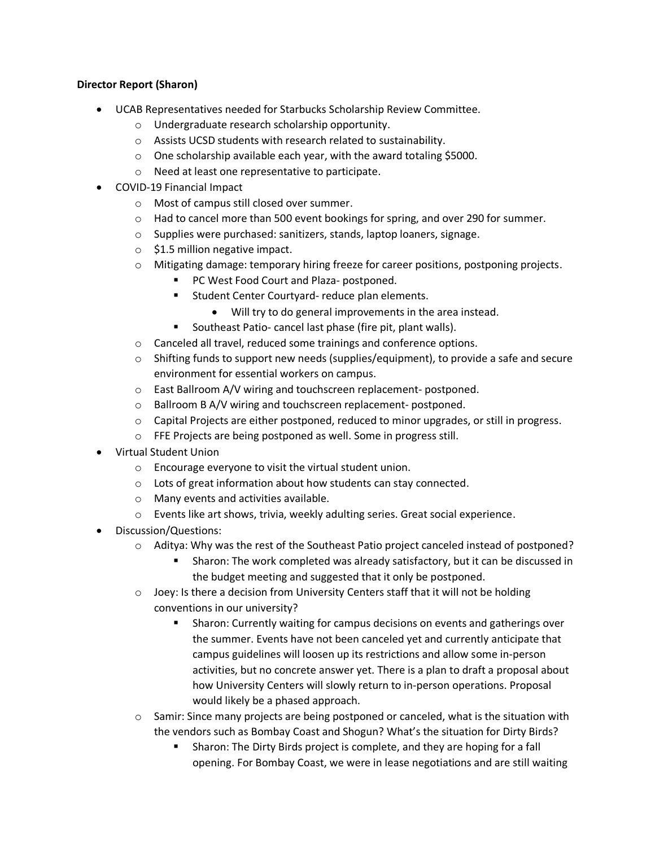# **Director Report (Sharon)**

- UCAB Representatives needed for Starbucks Scholarship Review Committee.
	- o Undergraduate research scholarship opportunity.
	- o Assists UCSD students with research related to sustainability.
	- o One scholarship available each year, with the award totaling \$5000.
	- o Need at least one representative to participate.
- COVID-19 Financial Impact
	- o Most of campus still closed over summer.
	- $\circ$  Had to cancel more than 500 event bookings for spring, and over 290 for summer.
	- o Supplies were purchased: sanitizers, stands, laptop loaners, signage.
	- $\circ$  \$1.5 million negative impact.
	- o Mitigating damage: temporary hiring freeze for career positions, postponing projects.
		- PC West Food Court and Plaza- postponed.
		- Student Center Courtyard- reduce plan elements.
			- Will try to do general improvements in the area instead.
		- Southeast Patio- cancel last phase (fire pit, plant walls).
	- o Canceled all travel, reduced some trainings and conference options.
	- $\circ$  Shifting funds to support new needs (supplies/equipment), to provide a safe and secure environment for essential workers on campus.
	- o East Ballroom A/V wiring and touchscreen replacement- postponed.
	- o Ballroom B A/V wiring and touchscreen replacement- postponed.
	- $\circ$  Capital Projects are either postponed, reduced to minor upgrades, or still in progress.
	- o FFE Projects are being postponed as well. Some in progress still.
- Virtual Student Union
	- o Encourage everyone to visit the virtual student union.
	- o Lots of great information about how students can stay connected.
	- o Many events and activities available.
	- o Events like art shows, trivia, weekly adulting series. Great social experience.
- Discussion/Questions:
	- o Aditya: Why was the rest of the Southeast Patio project canceled instead of postponed?
		- **EXEDM**: The work completed was already satisfactory, but it can be discussed in the budget meeting and suggested that it only be postponed.
	- $\circ$  Joey: Is there a decision from University Centers staff that it will not be holding conventions in our university?
		- Sharon: Currently waiting for campus decisions on events and gatherings over the summer. Events have not been canceled yet and currently anticipate that campus guidelines will loosen up its restrictions and allow some in-person activities, but no concrete answer yet. There is a plan to draft a proposal about how University Centers will slowly return to in-person operations. Proposal would likely be a phased approach.
	- $\circ$  Samir: Since many projects are being postponed or canceled, what is the situation with the vendors such as Bombay Coast and Shogun? What's the situation for Dirty Birds?
		- **EXP** Sharon: The Dirty Birds project is complete, and they are hoping for a fall opening. For Bombay Coast, we were in lease negotiations and are still waiting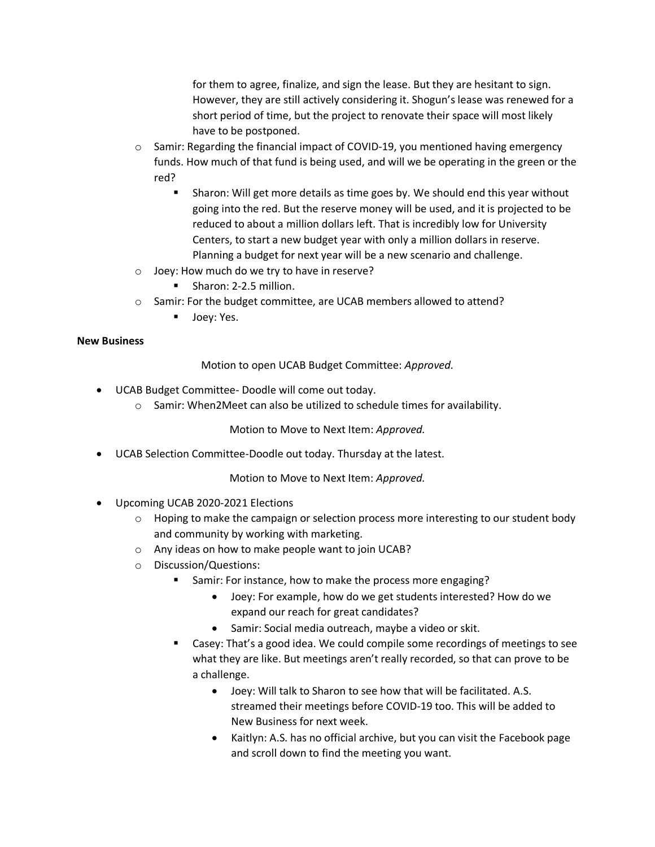for them to agree, finalize, and sign the lease. But they are hesitant to sign. However, they are still actively considering it. Shogun's lease was renewed for a short period of time, but the project to renovate their space will most likely have to be postponed.

- o Samir: Regarding the financial impact of COVID-19, you mentioned having emergency funds. How much of that fund is being used, and will we be operating in the green or the red?
	- Sharon: Will get more details as time goes by. We should end this year without going into the red. But the reserve money will be used, and it is projected to be reduced to about a million dollars left. That is incredibly low for University Centers, to start a new budget year with only a million dollars in reserve. Planning a budget for next year will be a new scenario and challenge.
- o Joey: How much do we try to have in reserve?
	- Sharon: 2-2.5 million.
- o Samir: For the budget committee, are UCAB members allowed to attend?
	- Joey: Yes.

#### **New Business**

Motion to open UCAB Budget Committee: *Approved.*

- UCAB Budget Committee- Doodle will come out today.
	- o Samir: When2Meet can also be utilized to schedule times for availability.

Motion to Move to Next Item: *Approved.*

• UCAB Selection Committee-Doodle out today. Thursday at the latest.

Motion to Move to Next Item: *Approved.*

- Upcoming UCAB 2020-2021 Elections
	- $\circ$  Hoping to make the campaign or selection process more interesting to our student body and community by working with marketing.
	- o Any ideas on how to make people want to join UCAB?
	- o Discussion/Questions:
		- Samir: For instance, how to make the process more engaging?
			- Joey: For example, how do we get students interested? How do we expand our reach for great candidates?
			- Samir: Social media outreach, maybe a video or skit.
		- Casey: That's a good idea. We could compile some recordings of meetings to see what they are like. But meetings aren't really recorded, so that can prove to be a challenge.
			- Joey: Will talk to Sharon to see how that will be facilitated. A.S. streamed their meetings before COVID-19 too. This will be added to New Business for next week.
			- Kaitlyn: A.S. has no official archive, but you can visit the Facebook page and scroll down to find the meeting you want.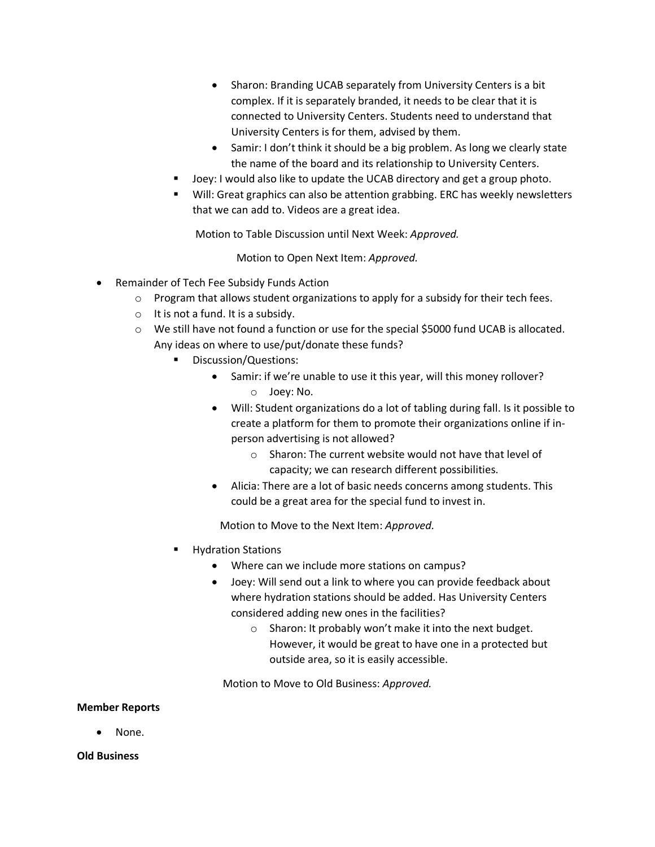- Sharon: Branding UCAB separately from University Centers is a bit complex. If it is separately branded, it needs to be clear that it is connected to University Centers. Students need to understand that University Centers is for them, advised by them.
- Samir: I don't think it should be a big problem. As long we clearly state the name of the board and its relationship to University Centers.
- Joey: I would also like to update the UCAB directory and get a group photo.
- Will: Great graphics can also be attention grabbing. ERC has weekly newsletters that we can add to. Videos are a great idea.

Motion to Table Discussion until Next Week: *Approved.*

Motion to Open Next Item: *Approved.*

- Remainder of Tech Fee Subsidy Funds Action
	- $\circ$  Program that allows student organizations to apply for a subsidy for their tech fees.
	- $\circ$  It is not a fund. It is a subsidy.
	- o We still have not found a function or use for the special \$5000 fund UCAB is allocated. Any ideas on where to use/put/donate these funds?
		- Discussion/Questions:
			- Samir: if we're unable to use it this year, will this money rollover? o Joey: No.
			- Will: Student organizations do a lot of tabling during fall. Is it possible to create a platform for them to promote their organizations online if inperson advertising is not allowed?
				- o Sharon: The current website would not have that level of capacity; we can research different possibilities.
			- Alicia: There are a lot of basic needs concerns among students. This could be a great area for the special fund to invest in.

Motion to Move to the Next Item: *Approved.*

- **Hydration Stations** 
	- Where can we include more stations on campus?
	- Joey: Will send out a link to where you can provide feedback about where hydration stations should be added. Has University Centers considered adding new ones in the facilities?
		- o Sharon: It probably won't make it into the next budget. However, it would be great to have one in a protected but outside area, so it is easily accessible.

Motion to Move to Old Business: *Approved.*

#### **Member Reports**

• None.

#### **Old Business**